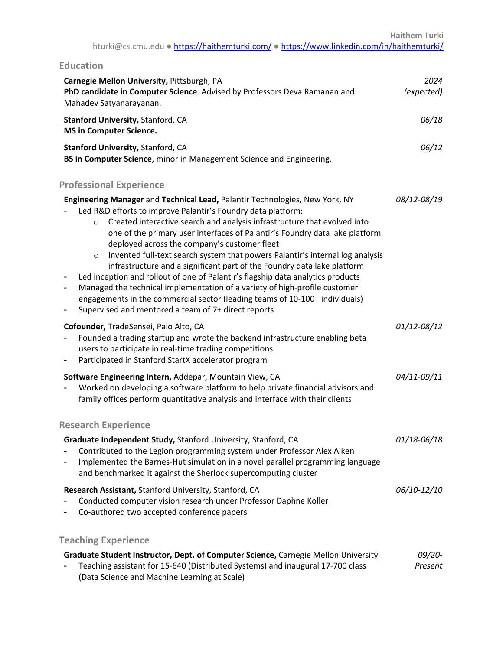| <b>Education</b>                                                                                                                                                                                                                                                                                                                                                                                                                                                                                                                                                                                                                                                                                                                                                                                                                                     |                      |
|------------------------------------------------------------------------------------------------------------------------------------------------------------------------------------------------------------------------------------------------------------------------------------------------------------------------------------------------------------------------------------------------------------------------------------------------------------------------------------------------------------------------------------------------------------------------------------------------------------------------------------------------------------------------------------------------------------------------------------------------------------------------------------------------------------------------------------------------------|----------------------|
| Carnegie Mellon University, Pittsburgh, PA<br>PhD candidate in Computer Science. Advised by Professors Deva Ramanan and<br>Mahadev Satyanarayanan.                                                                                                                                                                                                                                                                                                                                                                                                                                                                                                                                                                                                                                                                                                   | 2024<br>(expected)   |
| <b>Stanford University, Stanford, CA</b><br><b>MS in Computer Science.</b>                                                                                                                                                                                                                                                                                                                                                                                                                                                                                                                                                                                                                                                                                                                                                                           | 06/18                |
| <b>Stanford University, Stanford, CA</b><br>BS in Computer Science, minor in Management Science and Engineering.                                                                                                                                                                                                                                                                                                                                                                                                                                                                                                                                                                                                                                                                                                                                     | 06/12                |
| <b>Professional Experience</b>                                                                                                                                                                                                                                                                                                                                                                                                                                                                                                                                                                                                                                                                                                                                                                                                                       |                      |
| Engineering Manager and Technical Lead, Palantir Technologies, New York, NY<br>Led R&D efforts to improve Palantir's Foundry data platform:<br>Created interactive search and analysis infrastructure that evolved into<br>$\circ$<br>one of the primary user interfaces of Palantir's Foundry data lake platform<br>deployed across the company's customer fleet<br>Invented full-text search system that powers Palantir's internal log analysis<br>$\circ$<br>infrastructure and a significant part of the Foundry data lake platform<br>Led inception and rollout of one of Palantir's flagship data analytics products<br>۰<br>Managed the technical implementation of a variety of high-profile customer<br>engagements in the commercial sector (leading teams of 10-100+ individuals)<br>Supervised and mentored a team of 7+ direct reports | 08/12-08/19          |
| Cofounder, TradeSensei, Palo Alto, CA<br>Founded a trading startup and wrote the backend infrastructure enabling beta<br>users to participate in real-time trading competitions<br>Participated in Stanford StartX accelerator program                                                                                                                                                                                                                                                                                                                                                                                                                                                                                                                                                                                                               | 01/12-08/12          |
| Software Engineering Intern, Addepar, Mountain View, CA<br>Worked on developing a software platform to help private financial advisors and<br>family offices perform quantitative analysis and interface with their clients                                                                                                                                                                                                                                                                                                                                                                                                                                                                                                                                                                                                                          | 04/11-09/11          |
| <b>Research Experience</b>                                                                                                                                                                                                                                                                                                                                                                                                                                                                                                                                                                                                                                                                                                                                                                                                                           |                      |
| Graduate Independent Study, Stanford University, Stanford, CA<br>Contributed to the Legion programming system under Professor Alex Aiken<br>Implemented the Barnes-Hut simulation in a novel parallel programming language<br>and benchmarked it against the Sherlock supercomputing cluster                                                                                                                                                                                                                                                                                                                                                                                                                                                                                                                                                         | 01/18-06/18          |
| Research Assistant, Stanford University, Stanford, CA<br>Conducted computer vision research under Professor Daphne Koller<br>Co-authored two accepted conference papers                                                                                                                                                                                                                                                                                                                                                                                                                                                                                                                                                                                                                                                                              | 06/10-12/10          |
| <b>Teaching Experience</b>                                                                                                                                                                                                                                                                                                                                                                                                                                                                                                                                                                                                                                                                                                                                                                                                                           |                      |
| Graduate Student Instructor, Dept. of Computer Science, Carnegie Mellon University<br>Teaching assistant for 15-640 (Distributed Systems) and inaugural 17-700 class<br>(Data Science and Machine Learning at Scale)                                                                                                                                                                                                                                                                                                                                                                                                                                                                                                                                                                                                                                 | $09/20 -$<br>Present |